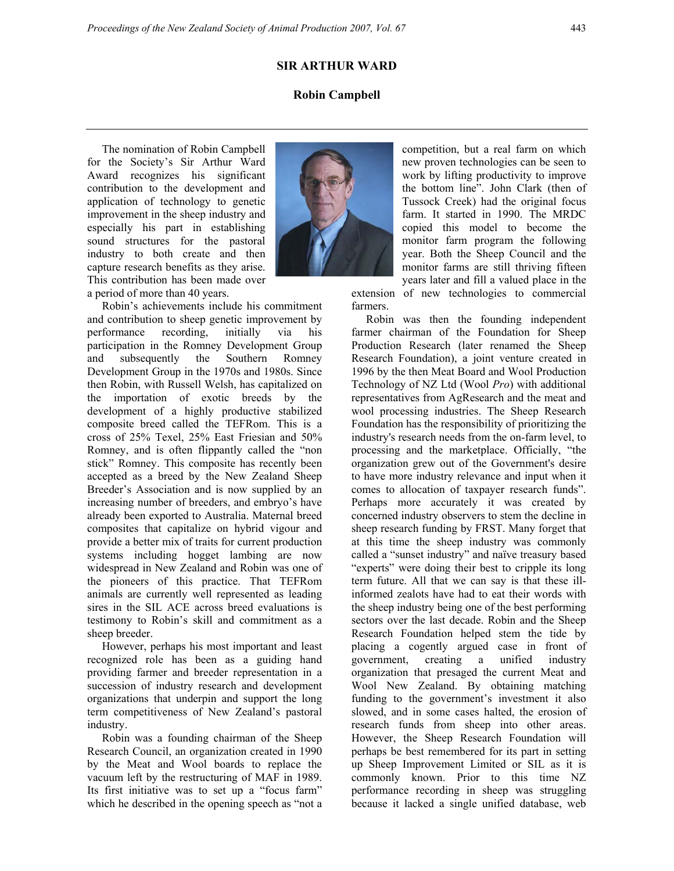## **Robin Campbell**

The nomination of Robin Campbell for the Society's Sir Arthur Ward Award recognizes his significant contribution to the development and application of technology to genetic improvement in the sheep industry and especially his part in establishing sound structures for the pastoral industry to both create and then capture research benefits as they arise. This contribution has been made over a period of more than 40 years.



farmers.

Robin's achievements include his commitment and contribution to sheep genetic improvement by performance recording, initially via his participation in the Romney Development Group and subsequently the Southern Romney Development Group in the 1970s and 1980s. Since then Robin, with Russell Welsh, has capitalized on the importation of exotic breeds by the development of a highly productive stabilized composite breed called the TEFRom. This is a cross of 25% Texel, 25% East Friesian and 50% Romney, and is often flippantly called the "non stick" Romney. This composite has recently been accepted as a breed by the New Zealand Sheep Breeder's Association and is now supplied by an increasing number of breeders, and embryo's have already been exported to Australia. Maternal breed composites that capitalize on hybrid vigour and provide a better mix of traits for current production systems including hogget lambing are now widespread in New Zealand and Robin was one of the pioneers of this practice. That TEFRom animals are currently well represented as leading sires in the SIL ACE across breed evaluations is testimony to Robin's skill and commitment as a sheep breeder.

However, perhaps his most important and least recognized role has been as a guiding hand providing farmer and breeder representation in a succession of industry research and development organizations that underpin and support the long term competitiveness of New Zealand's pastoral industry.

Robin was a founding chairman of the Sheep Research Council, an organization created in 1990 by the Meat and Wool boards to replace the vacuum left by the restructuring of MAF in 1989. Its first initiative was to set up a "focus farm" which he described in the opening speech as "not a

competition, but a real farm on which new proven technologies can be seen to work by lifting productivity to improve the bottom line". John Clark (then of Tussock Creek) had the original focus farm. It started in 1990. The MRDC copied this model to become the monitor farm program the following year. Both the Sheep Council and the monitor farms are still thriving fifteen years later and fill a valued place in the extension of new technologies to commercial

Robin was then the founding independent farmer chairman of the Foundation for Sheep Production Research (later renamed the Sheep Research Foundation), a joint venture created in 1996 by the then Meat Board and Wool Production Technology of NZ Ltd (Wool *Pro*) with additional representatives from AgResearch and the meat and wool processing industries. The Sheep Research Foundation has the responsibility of prioritizing the industry's research needs from the on-farm level, to processing and the marketplace. Officially, "the organization grew out of the Government's desire to have more industry relevance and input when it comes to allocation of taxpayer research funds". Perhaps more accurately it was created by concerned industry observers to stem the decline in sheep research funding by FRST. Many forget that at this time the sheep industry was commonly called a "sunset industry" and naïve treasury based "experts" were doing their best to cripple its long term future. All that we can say is that these illinformed zealots have had to eat their words with the sheep industry being one of the best performing sectors over the last decade. Robin and the Sheep Research Foundation helped stem the tide by placing a cogently argued case in front of government, creating a unified industry organization that presaged the current Meat and Wool New Zealand. By obtaining matching funding to the government's investment it also slowed, and in some cases halted, the erosion of research funds from sheep into other areas. However, the Sheep Research Foundation will perhaps be best remembered for its part in setting up Sheep Improvement Limited or SIL as it is commonly known. Prior to this time NZ performance recording in sheep was struggling because it lacked a single unified database, web